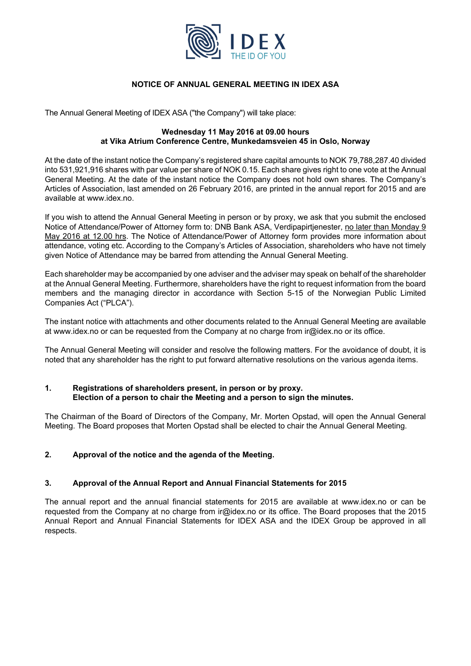

# **NOTICE OF ANNUAL GENERAL MEETING IN IDEX ASA**

The Annual General Meeting of IDEX ASA ("the Company") will take place:

# **Wednesday 11 May 2016 at 09.00 hours at Vika Atrium Conference Centre, Munkedamsveien 45 in Oslo, Norway**

At the date of the instant notice the Company's registered share capital amounts to NOK 79,788,287.40 divided into 531,921,916 shares with par value per share of NOK 0.15. Each share gives right to one vote at the Annual General Meeting. At the date of the instant notice the Company does not hold own shares. The Company's Articles of Association, last amended on 26 February 2016, are printed in the annual report for 2015 and are available at www.idex.no.

If you wish to attend the Annual General Meeting in person or by proxy, we ask that you submit the enclosed Notice of Attendance/Power of Attorney form to: DNB Bank ASA, Verdipapirtjenester, no later than Monday 9 May 2016 at 12.00 hrs. The Notice of Attendance/Power of Attorney form provides more information about attendance, voting etc. According to the Company's Articles of Association, shareholders who have not timely given Notice of Attendance may be barred from attending the Annual General Meeting.

Each shareholder may be accompanied by one adviser and the adviser may speak on behalf of the shareholder at the Annual General Meeting. Furthermore, shareholders have the right to request information from the board members and the managing director in accordance with Section 5-15 of the Norwegian Public Limited Companies Act ("PLCA").

The instant notice with attachments and other documents related to the Annual General Meeting are available at www.idex.no or can be requested from the Company at no charge from ir@idex.no or its office.

The Annual General Meeting will consider and resolve the following matters. For the avoidance of doubt, it is noted that any shareholder has the right to put forward alternative resolutions on the various agenda items.

# **1. Registrations of shareholders present, in person or by proxy. Election of a person to chair the Meeting and a person to sign the minutes.**

The Chairman of the Board of Directors of the Company, Mr. Morten Opstad, will open the Annual General Meeting. The Board proposes that Morten Opstad shall be elected to chair the Annual General Meeting.

# **2. Approval of the notice and the agenda of the Meeting.**

# **3. Approval of the Annual Report and Annual Financial Statements for 2015**

The annual report and the annual financial statements for 2015 are available at www.idex.no or can be requested from the Company at no charge from ir@idex.no or its office. The Board proposes that the 2015 Annual Report and Annual Financial Statements for IDEX ASA and the IDEX Group be approved in all respects.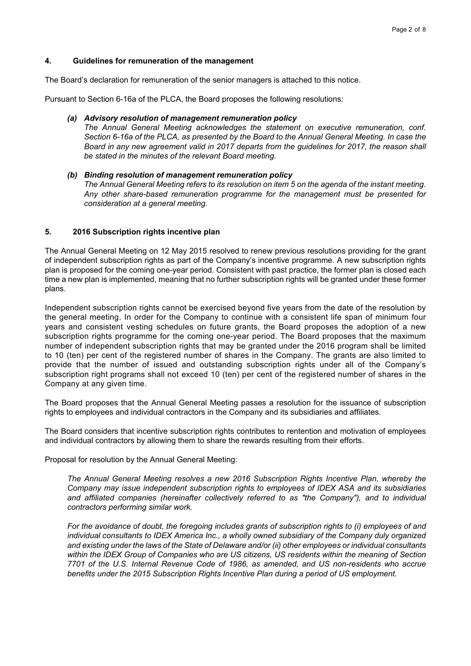## **4. Guidelines for remuneration of the management**

The Board's declaration for remuneration of the senior managers is attached to this notice.

Pursuant to Section 6-16a of the PLCA, the Board proposes the following resolutions:

## *(a) Advisory resolution of management remuneration policy*

*The Annual General Meeting acknowledges the statement on executive remuneration, conf. Section 6-16a of the PLCA, as presented by the Board to the Annual General Meeting. In case the Board in any new agreement valid in 2017 departs from the guidelines for 2017, the reason shall be stated in the minutes of the relevant Board meeting.* 

# *(b) Binding resolution of management remuneration policy The Annual General Meeting refers to its resolution on item 5 on the agenda of the instant meeting. Any other share-based remuneration programme for the management must be presented for consideration at a general meeting.*

# **5. 2016 Subscription rights incentive plan**

The Annual General Meeting on 12 May 2015 resolved to renew previous resolutions providing for the grant of independent subscription rights as part of the Company's incentive programme. A new subscription rights plan is proposed for the coming one-year period. Consistent with past practice, the former plan is closed each time a new plan is implemented, meaning that no further subscription rights will be granted under these former plans.

Independent subscription rights cannot be exercised beyond five years from the date of the resolution by the general meeting. In order for the Company to continue with a consistent life span of minimum four years and consistent vesting schedules on future grants, the Board proposes the adoption of a new subscription rights programme for the coming one-year period. The Board proposes that the maximum number of independent subscription rights that may be granted under the 2016 program shall be limited to 10 (ten) per cent of the registered number of shares in the Company. The grants are also limited to provide that the number of issued and outstanding subscription rights under all of the Company's subscription right programs shall not exceed 10 (ten) per cent of the registered number of shares in the Company at any given time.

The Board proposes that the Annual General Meeting passes a resolution for the issuance of subscription rights to employees and individual contractors in the Company and its subsidiaries and affiliates.

The Board considers that incentive subscription rights contributes to rentention and motivation of employees and individual contractors by allowing them to share the rewards resulting from their efforts.

Proposal for resolution by the Annual General Meeting:

*The Annual General Meeting resolves a new 2016 Subscription Rights Incentive Plan, whereby the Company may issue independent subscription rights to employees of IDEX ASA and its subsidiaries*  and affiliated companies (hereinafter collectively referred to as "the Company"), and to individual *contractors performing similar work.* 

*For the avoidance of doubt, the foregoing includes grants of subscription rights to (i) employees of and individual consultants to IDEX America Inc., a wholly owned subsidiary of the Company duly organized and existing under the laws of the State of Delaware and/or (ii) other employees or individual consultants within the IDEX Group of Companies who are US citizens, US residents within the meaning of Section 7701 of the U.S. Internal Revenue Code of 1986, as amended, and US non-residents who accrue benefits under the 2015 Subscription Rights Incentive Plan during a period of US employment.*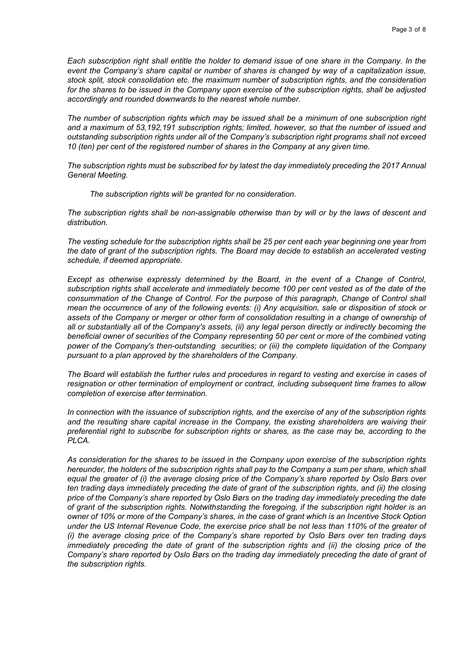*Each subscription right shall entitle the holder to demand issue of one share in the Company. In the event the Company's share capital or number of shares is changed by way of a capitalization issue, stock split, stock consolidation etc. the maximum number of subscription rights, and the consideration*  for the shares to be issued in the Company upon exercise of the subscription rights, shall be adjusted *accordingly and rounded downwards to the nearest whole number.* 

*The number of subscription rights which may be issued shall be a minimum of one subscription right and a maximum of 53,192,191 subscription rights; limited, however, so that the number of issued and outstanding subscription rights under all of the Company's subscription right programs shall not exceed 10 (ten) per cent of the registered number of shares in the Company at any given time.* 

*The subscription rights must be subscribed for by latest the day immediately preceding the 2017 Annual General Meeting.* 

*The subscription rights will be granted for no consideration.* 

*The subscription rights shall be non-assignable otherwise than by will or by the laws of descent and distribution.* 

*The vesting schedule for the subscription rights shall be 25 per cent each year beginning one year from the date of grant of the subscription rights. The Board may decide to establish an accelerated vesting schedule, if deemed appropriate.* 

*Except as otherwise expressly determined by the Board, in the event of a Change of Control,*  subscription rights shall accelerate and immediately become 100 per cent vested as of the date of the consummation of the Change of Control. For the purpose of this paragraph, Change of Control shall *mean the occurrence of any of the following events: (i) Any acquisition, sale or disposition of stock or*  assets of the Company or merger or other form of consolidation resulting in a change of ownership of *all or substantially all of the Company's assets, (ii) any legal person directly or indirectly becoming the beneficial owner of securities of the Company representing 50 per cent or more of the combined voting power of the Company's then-outstanding securities; or (iii) the complete liquidation of the Company pursuant to a plan approved by the shareholders of the Company.* 

*The Board will establish the further rules and procedures in regard to vesting and exercise in cases of resignation or other termination of employment or contract, including subsequent time frames to allow completion of exercise after termination.* 

*In connection with the issuance of subscription rights, and the exercise of any of the subscription rights and the resulting share capital increase in the Company, the existing shareholders are waiving their preferential right to subscribe for subscription rights or shares, as the case may be, according to the PLCA.* 

*As consideration for the shares to be issued in the Company upon exercise of the subscription rights hereunder, the holders of the subscription rights shall pay to the Company a sum per share, which shall equal the greater of (i) the average closing price of the Company's share reported by Oslo Børs over ten trading days immediately preceding the date of grant of the subscription rights, and (ii) the closing price of the Company's share reported by Oslo Børs on the trading day immediately preceding the date of grant of the subscription rights. Notwithstanding the foregoing, if the subscription right holder is an owner of 10% or more of the Company's shares, in the case of grant which is an Incentive Stock Option under the US Internal Revenue Code, the exercise price shall be not less than 110% of the greater of (i) the average closing price of the Company's share reported by Oslo Børs over ten trading days immediately preceding the date of grant of the subscription rights and (ii) the closing price of the* Company's share reported by Oslo Børs on the trading day immediately preceding the date of grant of *the subscription rights.*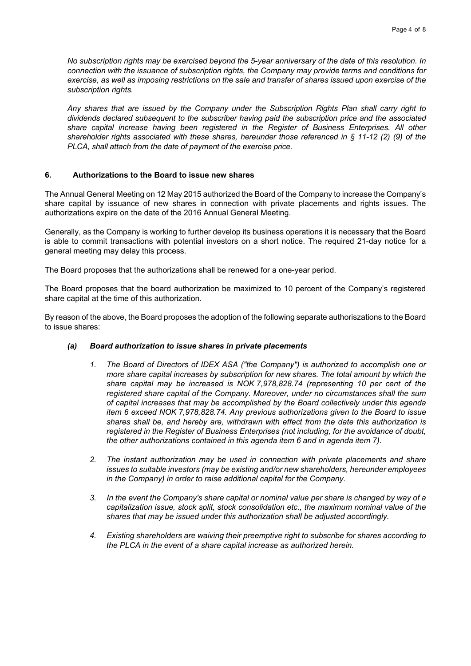*No subscription rights may be exercised beyond the 5-year anniversary of the date of this resolution. In connection with the issuance of subscription rights, the Company may provide terms and conditions for exercise, as well as imposing restrictions on the sale and transfer of shares issued upon exercise of the subscription rights.* 

*Any shares that are issued by the Company under the Subscription Rights Plan shall carry right to dividends declared subsequent to the subscriber having paid the subscription price and the associated share capital increase having been registered in the Register of Business Enterprises. All other shareholder rights associated with these shares, hereunder those referenced in § 11-12 (2) (9) of the PLCA, shall attach from the date of payment of the exercise price.* 

# **6. Authorizations to the Board to issue new shares**

The Annual General Meeting on 12 May 2015 authorized the Board of the Company to increase the Company's share capital by issuance of new shares in connection with private placements and rights issues. The authorizations expire on the date of the 2016 Annual General Meeting.

Generally, as the Company is working to further develop its business operations it is necessary that the Board is able to commit transactions with potential investors on a short notice. The required 21-day notice for a general meeting may delay this process.

The Board proposes that the authorizations shall be renewed for a one-year period.

The Board proposes that the board authorization be maximized to 10 percent of the Company's registered share capital at the time of this authorization.

By reason of the above, the Board proposes the adoption of the following separate authoriszations to the Board to issue shares:

# *(a) Board authorization to issue shares in private placements*

- *1. The Board of Directors of IDEX ASA ("the Company") is authorized to accomplish one or more share capital increases by subscription for new shares. The total amount by which the share capital may be increased is NOK 7,978,828.74 (representing 10 per cent of the registered share capital of the Company. Moreover, under no circumstances shall the sum of capital increases that may be accomplished by the Board collectively under this agenda item 6 exceed NOK 7,978,828.74. Any previous authorizations given to the Board to issue shares shall be, and hereby are, withdrawn with effect from the date this authorization is registered in the Register of Business Enterprises (not including, for the avoidance of doubt, the other authorizations contained in this agenda item 6 and in agenda item 7).*
- *2. The instant authorization may be used in connection with private placements and share issues to suitable investors (may be existing and/or new shareholders, hereunder employees in the Company) in order to raise additional capital for the Company.*
- *3. In the event the Company's share capital or nominal value per share is changed by way of a capitalization issue, stock split, stock consolidation etc., the maximum nominal value of the shares that may be issued under this authorization shall be adjusted accordingly.*
- *4. Existing shareholders are waiving their preemptive right to subscribe for shares according to the PLCA in the event of a share capital increase as authorized herein.*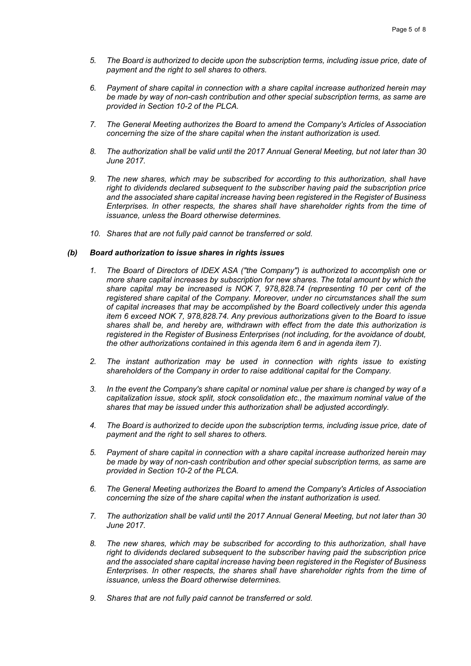- *5. The Board is authorized to decide upon the subscription terms, including issue price, date of payment and the right to sell shares to others.*
- *6. Payment of share capital in connection with a share capital increase authorized herein may be made by way of non-cash contribution and other special subscription terms, as same are provided in Section 10-2 of the PLCA.*
- *7. The General Meeting authorizes the Board to amend the Company's Articles of Association concerning the size of the share capital when the instant authorization is used.*
- *8. The authorization shall be valid until the 2017 Annual General Meeting, but not later than 30 June 2017.*
- *9. The new shares, which may be subscribed for according to this authorization, shall have right to dividends declared subsequent to the subscriber having paid the subscription price and the associated share capital increase having been registered in the Register of Business Enterprises. In other respects, the shares shall have shareholder rights from the time of issuance, unless the Board otherwise determines.*
- *10. Shares that are not fully paid cannot be transferred or sold.*

# *(b) Board authorization to issue shares in rights issues*

- *1. The Board of Directors of IDEX ASA ("the Company") is authorized to accomplish one or more share capital increases by subscription for new shares. The total amount by which the share capital may be increased is NOK 7, 978,828.74 (representing 10 per cent of the registered share capital of the Company. Moreover, under no circumstances shall the sum of capital increases that may be accomplished by the Board collectively under this agenda item 6 exceed NOK 7, 978,828.74. Any previous authorizations given to the Board to issue shares shall be, and hereby are, withdrawn with effect from the date this authorization is registered in the Register of Business Enterprises (not including, for the avoidance of doubt, the other authorizations contained in this agenda item 6 and in agenda item 7).*
- *2. The instant authorization may be used in connection with rights issue to existing shareholders of the Company in order to raise additional capital for the Company.*
- *3. In the event the Company's share capital or nominal value per share is changed by way of a capitalization issue, stock split, stock consolidation etc., the maximum nominal value of the shares that may be issued under this authorization shall be adjusted accordingly.*
- *4. The Board is authorized to decide upon the subscription terms, including issue price, date of payment and the right to sell shares to others.*
- *5. Payment of share capital in connection with a share capital increase authorized herein may be made by way of non-cash contribution and other special subscription terms, as same are provided in Section 10-2 of the PLCA.*
- *6. The General Meeting authorizes the Board to amend the Company's Articles of Association concerning the size of the share capital when the instant authorization is used.*
- *7. The authorization shall be valid until the 2017 Annual General Meeting, but not later than 30 June 2017.*
- *8. The new shares, which may be subscribed for according to this authorization, shall have right to dividends declared subsequent to the subscriber having paid the subscription price and the associated share capital increase having been registered in the Register of Business Enterprises. In other respects, the shares shall have shareholder rights from the time of issuance, unless the Board otherwise determines.*
- *9. Shares that are not fully paid cannot be transferred or sold.*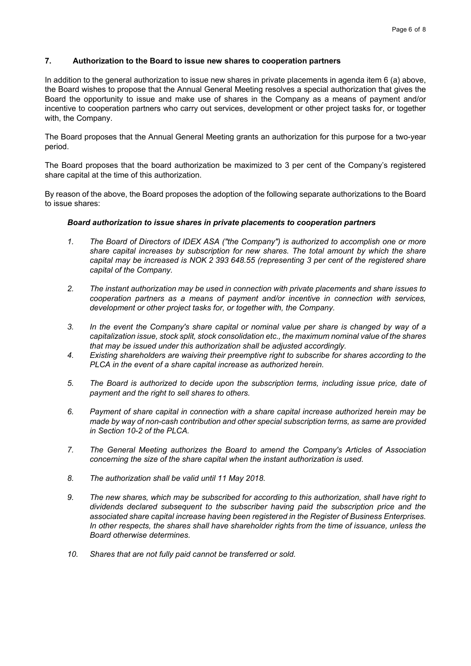# **7. Authorization to the Board to issue new shares to cooperation partners**

In addition to the general authorization to issue new shares in private placements in agenda item 6 (a) above, the Board wishes to propose that the Annual General Meeting resolves a special authorization that gives the Board the opportunity to issue and make use of shares in the Company as a means of payment and/or incentive to cooperation partners who carry out services, development or other project tasks for, or together with, the Company.

The Board proposes that the Annual General Meeting grants an authorization for this purpose for a two-year period.

The Board proposes that the board authorization be maximized to 3 per cent of the Company's registered share capital at the time of this authorization.

By reason of the above, the Board proposes the adoption of the following separate authorizations to the Board to issue shares:

## *Board authorization to issue shares in private placements to cooperation partners*

- *1. The Board of Directors of IDEX ASA ("the Company") is authorized to accomplish one or more share capital increases by subscription for new shares. The total amount by which the share capital may be increased is NOK 2 393 648.55 (representing 3 per cent of the registered share capital of the Company.*
- *2. The instant authorization may be used in connection with private placements and share issues to cooperation partners as a means of payment and/or incentive in connection with services, development or other project tasks for, or together with, the Company.*
- *3. In the event the Company's share capital or nominal value per share is changed by way of a capitalization issue, stock split, stock consolidation etc., the maximum nominal value of the shares that may be issued under this authorization shall be adjusted accordingly.*
- *4. Existing shareholders are waiving their preemptive right to subscribe for shares according to the PLCA in the event of a share capital increase as authorized herein.*
- *5. The Board is authorized to decide upon the subscription terms, including issue price, date of payment and the right to sell shares to others.*
- *6. Payment of share capital in connection with a share capital increase authorized herein may be made by way of non-cash contribution and other special subscription terms, as same are provided in Section 10-2 of the PLCA.*
- *7. The General Meeting authorizes the Board to amend the Company's Articles of Association concerning the size of the share capital when the instant authorization is used.*
- *8. The authorization shall be valid until 11 May 2018.*
- *9. The new shares, which may be subscribed for according to this authorization, shall have right to dividends declared subsequent to the subscriber having paid the subscription price and the associated share capital increase having been registered in the Register of Business Enterprises. In other respects, the shares shall have shareholder rights from the time of issuance, unless the Board otherwise determines.*
- *10. Shares that are not fully paid cannot be transferred or sold.*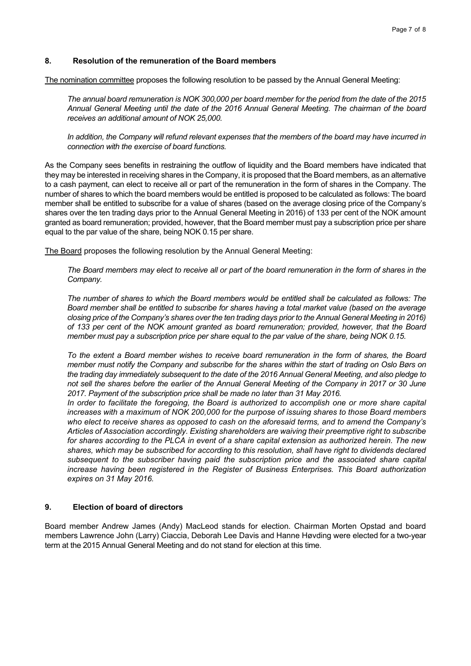# **8. Resolution of the remuneration of the Board members**

The nomination committee proposes the following resolution to be passed by the Annual General Meeting:

*The annual board remuneration is NOK 300,000 per board member for the period from the date of the 2015 Annual General Meeting until the date of the 2016 Annual General Meeting. The chairman of the board receives an additional amount of NOK 25,000.* 

*In addition, the Company will refund relevant expenses that the members of the board may have incurred in connection with the exercise of board functions.* 

As the Company sees benefits in restraining the outflow of liquidity and the Board members have indicated that they may be interested in receiving shares in the Company, it is proposed that the Board members, as an alternative to a cash payment, can elect to receive all or part of the remuneration in the form of shares in the Company. The number of shares to which the board members would be entitled is proposed to be calculated as follows: The board member shall be entitled to subscribe for a value of shares (based on the average closing price of the Company's shares over the ten trading days prior to the Annual General Meeting in 2016) of 133 per cent of the NOK amount granted as board remuneration; provided, however, that the Board member must pay a subscription price per share equal to the par value of the share, being NOK 0.15 per share.

The Board proposes the following resolution by the Annual General Meeting:

*The Board members may elect to receive all or part of the board remuneration in the form of shares in the Company.* 

*The number of shares to which the Board members would be entitled shall be calculated as follows: The Board member shall be entitled to subscribe for shares having a total market value (based on the average closing price of the Company's shares over the ten trading days prior to the Annual General Meeting in 2016) of 133 per cent of the NOK amount granted as board remuneration; provided, however, that the Board member must pay a subscription price per share equal to the par value of the share, being NOK 0.15.* 

*To the extent a Board member wishes to receive board remuneration in the form of shares, the Board member must notify the Company and subscribe for the shares within the start of trading on Oslo Børs on the trading day immediately subsequent to the date of the 2016 Annual General Meeting, and also pledge to not sell the shares before the earlier of the Annual General Meeting of the Company in 2017 or 30 June*  2017. Payment of the subscription price shall be made no later than 31 May 2016.

*In order to facilitate the foregoing, the Board is authorized to accomplish one or more share capital increases with a maximum of NOK 200,000 for the purpose of issuing shares to those Board members who elect to receive shares as opposed to cash on the aforesaid terms, and to amend the Company's Articles of Association accordingly. Existing shareholders are waiving their preemptive right to subscribe for shares according to the PLCA in event of a share capital extension as authorized herein. The new shares, which may be subscribed for according to this resolution, shall have right to dividends declared subsequent to the subscriber having paid the subscription price and the associated share capital increase having been registered in the Register of Business Enterprises. This Board authorization expires on 31 May 2016.* 

# **9. Election of board of directors**

Board member Andrew James (Andy) MacLeod stands for election. Chairman Morten Opstad and board members Lawrence John (Larry) Ciaccia, Deborah Lee Davis and Hanne Høvding were elected for a two-year term at the 2015 Annual General Meeting and do not stand for election at this time.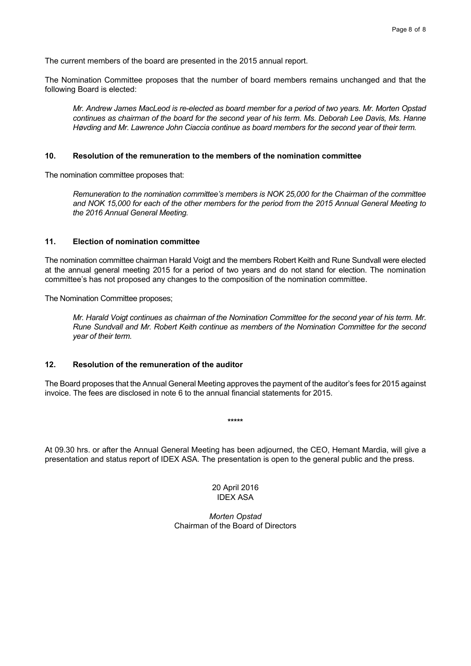The current members of the board are presented in the 2015 annual report.

The Nomination Committee proposes that the number of board members remains unchanged and that the following Board is elected:

*Mr. Andrew James MacLeod is re-elected as board member for a period of two years. Mr. Morten Opstad continues as chairman of the board for the second year of his term. Ms. Deborah Lee Davis, Ms. Hanne Høvding and Mr. Lawrence John Ciaccia continue as board members for the second year of their term.* 

## **10. Resolution of the remuneration to the members of the nomination committee**

The nomination committee proposes that:

*Remuneration to the nomination committee's members is NOK 25,000 for the Chairman of the committee and NOK 15,000 for each of the other members for the period from the 2015 Annual General Meeting to the 2016 Annual General Meeting.* 

## **11. Election of nomination committee**

The nomination committee chairman Harald Voigt and the members Robert Keith and Rune Sundvall were elected at the annual general meeting 2015 for a period of two years and do not stand for election. The nomination committee's has not proposed any changes to the composition of the nomination committee.

The Nomination Committee proposes;

*Mr. Harald Voigt continues as chairman of the Nomination Committee for the second year of his term. Mr. Rune Sundvall and Mr. Robert Keith continue as members of the Nomination Committee for the second year of their term.* 

## **12. Resolution of the remuneration of the auditor**

The Board proposes that the Annual General Meeting approves the payment of the auditor's fees for 2015 against invoice. The fees are disclosed in note 6 to the annual financial statements for 2015.

**\*\*\*\*\*** 

At 09.30 hrs. or after the Annual General Meeting has been adjourned, the CEO, Hemant Mardia, will give a presentation and status report of IDEX ASA. The presentation is open to the general public and the press.

> 20 April 2016 IDEX ASA

*Morten Opstad*  Chairman of the Board of Directors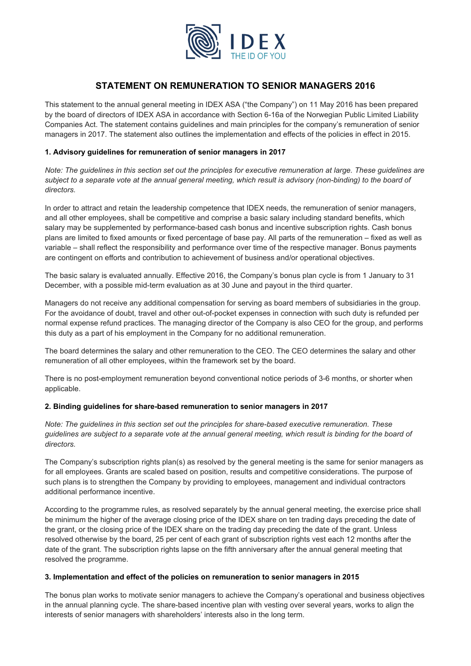

# **STATEMENT ON REMUNERATION TO SENIOR MANAGERS 2016**

This statement to the annual general meeting in IDEX ASA ("the Company") on 11 May 2016 has been prepared by the board of directors of IDEX ASA in accordance with Section 6-16a of the Norwegian Public Limited Liability Companies Act. The statement contains guidelines and main principles for the company's remuneration of senior managers in 2017. The statement also outlines the implementation and effects of the policies in effect in 2015.

## **1. Advisory guidelines for remuneration of senior managers in 2017**

*Note: The guidelines in this section set out the principles for executive remuneration at large. These guidelines are*  subject to a separate vote at the annual general meeting, which result is advisory (non-binding) to the board of *directors.* 

In order to attract and retain the leadership competence that IDEX needs, the remuneration of senior managers, and all other employees, shall be competitive and comprise a basic salary including standard benefits, which salary may be supplemented by performance-based cash bonus and incentive subscription rights. Cash bonus plans are limited to fixed amounts or fixed percentage of base pay. All parts of the remuneration – fixed as well as variable – shall reflect the responsibility and performance over time of the respective manager. Bonus payments are contingent on efforts and contribution to achievement of business and/or operational objectives.

The basic salary is evaluated annually. Effective 2016, the Company's bonus plan cycle is from 1 January to 31 December, with a possible mid-term evaluation as at 30 June and payout in the third quarter.

Managers do not receive any additional compensation for serving as board members of subsidiaries in the group. For the avoidance of doubt, travel and other out-of-pocket expenses in connection with such duty is refunded per normal expense refund practices. The managing director of the Company is also CEO for the group, and performs this duty as a part of his employment in the Company for no additional remuneration.

The board determines the salary and other remuneration to the CEO. The CEO determines the salary and other remuneration of all other employees, within the framework set by the board.

There is no post-employment remuneration beyond conventional notice periods of 3-6 months, or shorter when applicable.

## **2. Binding guidelines for share-based remuneration to senior managers in 2017**

*Note: The guidelines in this section set out the principles for share-based executive remuneration. These guidelines are subject to a separate vote at the annual general meeting, which result is binding for the board of directors.* 

The Company's subscription rights plan(s) as resolved by the general meeting is the same for senior managers as for all employees. Grants are scaled based on position, results and competitive considerations. The purpose of such plans is to strengthen the Company by providing to employees, management and individual contractors additional performance incentive.

According to the programme rules, as resolved separately by the annual general meeting, the exercise price shall be minimum the higher of the average closing price of the IDEX share on ten trading days preceding the date of the grant, or the closing price of the IDEX share on the trading day preceding the date of the grant. Unless resolved otherwise by the board, 25 per cent of each grant of subscription rights vest each 12 months after the date of the grant. The subscription rights lapse on the fifth anniversary after the annual general meeting that resolved the programme.

## **3. Implementation and effect of the policies on remuneration to senior managers in 2015**

The bonus plan works to motivate senior managers to achieve the Company's operational and business objectives in the annual planning cycle. The share-based incentive plan with vesting over several years, works to align the interests of senior managers with shareholders' interests also in the long term.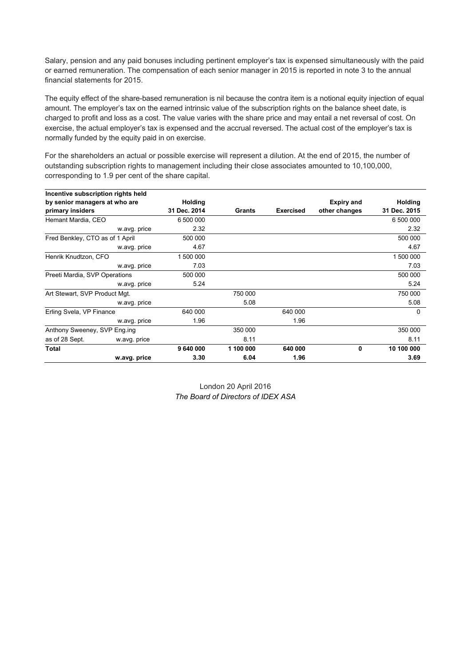Salary, pension and any paid bonuses including pertinent employer's tax is expensed simultaneously with the paid or earned remuneration. The compensation of each senior manager in 2015 is reported in note 3 to the annual financial statements for 2015.

The equity effect of the share-based remuneration is nil because the contra item is a notional equity injection of equal amount. The employer's tax on the earned intrinsic value of the subscription rights on the balance sheet date, is charged to profit and loss as a cost. The value varies with the share price and may entail a net reversal of cost. On exercise, the actual employer's tax is expensed and the accrual reversed. The actual cost of the employer's tax is normally funded by the equity paid in on exercise.

For the shareholders an actual or possible exercise will represent a dilution. At the end of 2015, the number of outstanding subscription rights to management including their close associates amounted to 10,100,000, corresponding to 1.9 per cent of the share capital.

| Incentive subscription rights held |                |           |                  |                   |              |
|------------------------------------|----------------|-----------|------------------|-------------------|--------------|
| by senior managers at who are      | <b>Holding</b> |           |                  | <b>Expiry and</b> | Holding      |
| primary insiders                   | 31 Dec. 2014   | Grants    | <b>Exercised</b> | other changes     | 31 Dec. 2015 |
| Hemant Mardia, CEO                 | 6 500 000      |           |                  |                   | 6 500 000    |
| w.avg. price                       | 2.32           |           |                  |                   | 2.32         |
| Fred Benkley, CTO as of 1 April    | 500 000        |           |                  |                   | 500 000      |
| w.avg. price                       | 4.67           |           |                  |                   | 4.67         |
| Henrik Knudtzon, CFO               | 1 500 000      |           |                  |                   | 1 500 000    |
| w.avg. price                       | 7.03           |           |                  |                   | 7.03         |
| Preeti Mardia, SVP Operations      | 500 000        |           |                  |                   | 500 000      |
| w.avg. price                       | 5.24           |           |                  |                   | 5.24         |
| Art Stewart, SVP Product Mgt.      |                | 750 000   |                  |                   | 750 000      |
| w.avg. price                       |                | 5.08      |                  |                   | 5.08         |
| Erling Svela, VP Finance           | 640 000        |           | 640 000          |                   | $\Omega$     |
| w.avg. price                       | 1.96           |           | 1.96             |                   |              |
| Anthony Sweeney, SVP Eng.ing       |                | 350 000   |                  |                   | 350 000      |
| as of 28 Sept.<br>w.avg. price     |                | 8.11      |                  |                   | 8.11         |
| Total                              | 9 640 000      | 1 100 000 | 640 000          | <sup>0</sup>      | 10 100 000   |
| w.avg. price                       | 3.30           | 6.04      | 1.96             |                   | 3.69         |

London 20 April 2016 *The Board of Directors of IDEX ASA*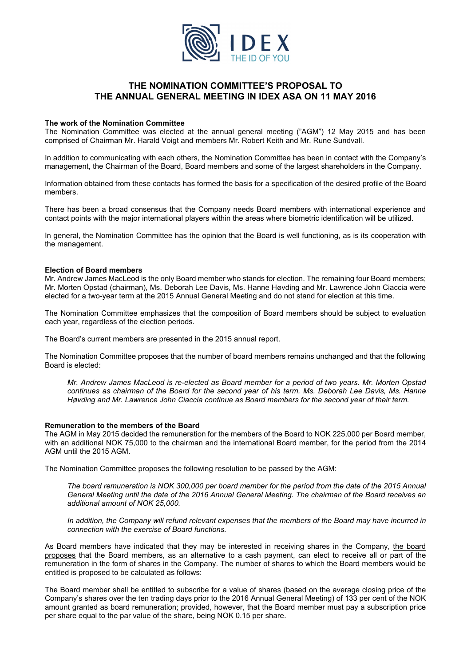

# **THE NOMINATION COMMITTEE'S PROPOSAL TO THE ANNUAL GENERAL MEETING IN IDEX ASA ON 11 MAY 2016**

## **The work of the Nomination Committee**

The Nomination Committee was elected at the annual general meeting ("AGM") 12 May 2015 and has been comprised of Chairman Mr. Harald Voigt and members Mr. Robert Keith and Mr. Rune Sundvall.

In addition to communicating with each others, the Nomination Committee has been in contact with the Company's management, the Chairman of the Board, Board members and some of the largest shareholders in the Company.

Information obtained from these contacts has formed the basis for a specification of the desired profile of the Board members.

There has been a broad consensus that the Company needs Board members with international experience and contact points with the major international players within the areas where biometric identification will be utilized.

In general, the Nomination Committee has the opinion that the Board is well functioning, as is its cooperation with the management.

### **Election of Board members**

Mr. Andrew James MacLeod is the only Board member who stands for election. The remaining four Board members; Mr. Morten Opstad (chairman), Ms. Deborah Lee Davis, Ms. Hanne Høvding and Mr. Lawrence John Ciaccia were elected for a two-year term at the 2015 Annual General Meeting and do not stand for election at this time.

The Nomination Committee emphasizes that the composition of Board members should be subject to evaluation each year, regardless of the election periods.

The Board's current members are presented in the 2015 annual report.

The Nomination Committee proposes that the number of board members remains unchanged and that the following Board is elected:

*Mr. Andrew James MacLeod is re-elected as Board member for a period of two years. Mr. Morten Opstad continues as chairman of the Board for the second year of his term. Ms. Deborah Lee Davis, Ms. Hanne Høvding and Mr. Lawrence John Ciaccia continue as Board members for the second year of their term.* 

### **Remuneration to the members of the Board**

The AGM in May 2015 decided the remuneration for the members of the Board to NOK 225,000 per Board member, with an additional NOK 75,000 to the chairman and the international Board member, for the period from the 2014 AGM until the 2015 AGM.

The Nomination Committee proposes the following resolution to be passed by the AGM:

*The board remuneration is NOK 300,000 per board member for the period from the date of the 2015 Annual General Meeting until the date of the 2016 Annual General Meeting. The chairman of the Board receives an additional amount of NOK 25,000.* 

*In addition, the Company will refund relevant expenses that the members of the Board may have incurred in connection with the exercise of Board functions.* 

As Board members have indicated that they may be interested in receiving shares in the Company, the board proposes that the Board members, as an alternative to a cash payment, can elect to receive all or part of the remuneration in the form of shares in the Company. The number of shares to which the Board members would be entitled is proposed to be calculated as follows:

The Board member shall be entitled to subscribe for a value of shares (based on the average closing price of the Company's shares over the ten trading days prior to the 2016 Annual General Meeting) of 133 per cent of the NOK amount granted as board remuneration; provided, however, that the Board member must pay a subscription price per share equal to the par value of the share, being NOK 0.15 per share.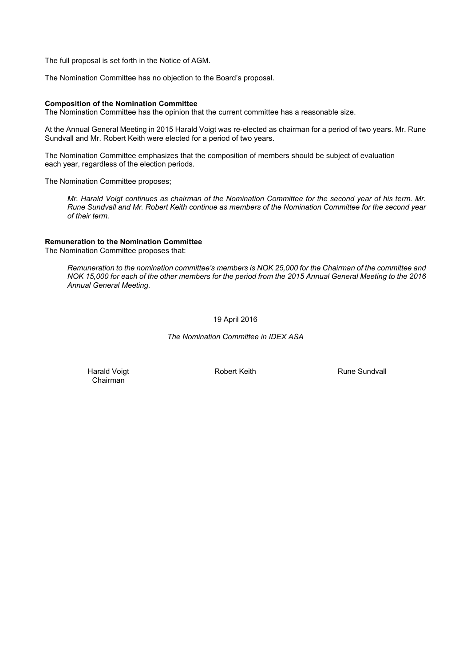The full proposal is set forth in the Notice of AGM.

The Nomination Committee has no objection to the Board's proposal.

## **Composition of the Nomination Committee**

The Nomination Committee has the opinion that the current committee has a reasonable size.

At the Annual General Meeting in 2015 Harald Voigt was re-elected as chairman for a period of two years. Mr. Rune Sundvall and Mr. Robert Keith were elected for a period of two years.

The Nomination Committee emphasizes that the composition of members should be subject of evaluation each year, regardless of the election periods.

The Nomination Committee proposes;

*Mr. Harald Voigt continues as chairman of the Nomination Committee for the second year of his term. Mr. Rune Sundvall and Mr. Robert Keith continue as members of the Nomination Committee for the second year of their term.* 

## **Remuneration to the Nomination Committee**

The Nomination Committee proposes that:

*Remuneration to the nomination committee's members is NOK 25,000 for the Chairman of the committee and NOK 15,000 for each of the other members for the period from the 2015 Annual General Meeting to the 2016 Annual General Meeting.*

19 April 2016

*The Nomination Committee in IDEX ASA* 

Harald Voigt Chairman

Robert Keith **Rune Sundvall**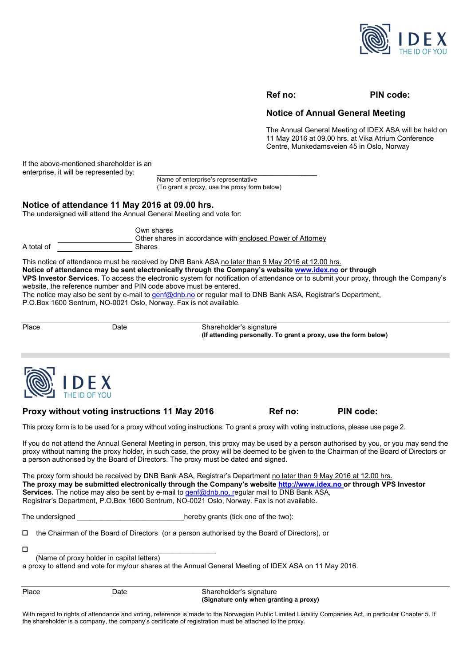

## **Ref no: PIN code:**

# **Notice of Annual General Meeting**

The Annual General Meeting of IDEX ASA will be held on 11 May 2016 at 09.00 hrs. at Vika Atrium Conference Centre, Munkedamsveien 45 in Oslo, Norway

If the above-mentioned shareholder is an enterprise, it will be represented by:

> Name of enterprise's representative (To grant a proxy, use the proxy form below)

# **Notice of attendance 11 May 2016 at 09.00 hrs.**

The undersigned will attend the Annual General Meeting and vote for:

|            | Own shares<br>Other shares in accordance with enclosed Power of Attorney |
|------------|--------------------------------------------------------------------------|
| A total of | Shares                                                                   |

This notice of attendance must be received by DNB Bank ASA no later than 9 May 2016 at 12.00 hrs. **Notice of attendance may be sent electronically through the Company's website www.idex.no or through VPS Investor Services.** To access the electronic system for notification of attendance or to submit your proxy, through the Company's website, the reference number and PIN code above must be entered. The notice may also be sent by e-mail to genf@dnb.no or regular mail to DNB Bank ASA, Registrar's Department,

P.O.Box 1600 Sentrum, NO-0021 Oslo, Norway. Fax is not available.

| Place | ⊃ate | Shareholder's signature<br>(If attending personally. To grant a proxy, use the form below) |
|-------|------|--------------------------------------------------------------------------------------------|



## **Proxy without voting instructions 11 May 2016 6. Ref no: PIN code:**

This proxy form is to be used for a proxy without voting instructions. To grant a proxy with voting instructions, please use page 2.

If you do not attend the Annual General Meeting in person, this proxy may be used by a person authorised by you, or you may send the proxy without naming the proxy holder, in such case, the proxy will be deemed to be given to the Chairman of the Board of Directors or a person authorised by the Board of Directors. The proxy must be dated and signed.

The proxy form should be received by DNB Bank ASA, Registrar's Department no later than 9 May 2016 at 12.00 hrs. **The proxy may be submitted electronically through the Company's website http://www.idex.no or through VPS Investor Services.** The notice may also be sent by e-mail to genf@dnb.no, regular mail to DNB Bank ASA, Registrar's Department, P.O.Box 1600 Sentrum, NO-0021 Oslo, Norway. Fax is not available.

The undersigned The undersigned and the two set of the two set of the two set of the two set of the two set of the two set of the two set of the two set of the two set of the two set of the two set of the two set of the tw

 $\Box$  the Chairman of the Board of Directors (or a person authorised by the Board of Directors), or

\_\_\_\_\_\_\_\_\_\_\_\_\_\_\_\_\_\_\_\_\_\_\_\_\_\_\_\_\_\_\_\_\_\_\_\_\_\_\_\_\_\_\_\_\_

(Name of proxy holder in capital letters)

a proxy to attend and vote for my/our shares at the Annual General Meeting of IDEX ASA on 11 May 2016.

| lac |  |
|-----|--|
|-----|--|

Date **Date** Shareholder's signature  **(Signature only when granting a proxy)** 

With regard to rights of attendance and voting, reference is made to the Norwegian Public Limited Liability Companies Act, in particular Chapter 5. If the shareholder is a company, the company's certificate of registration must be attached to the proxy.